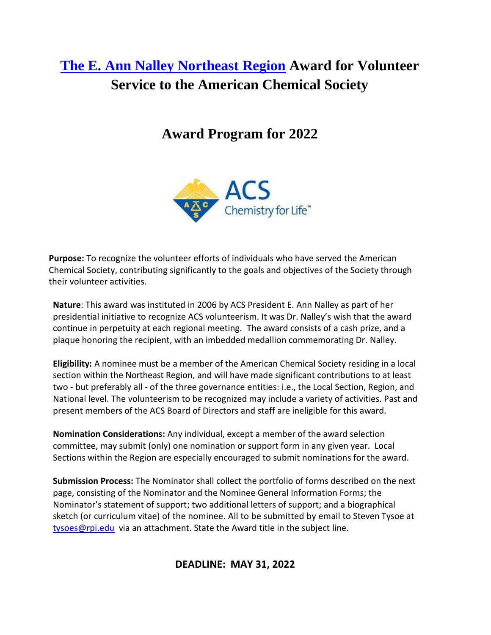# **The [E. Ann Nalley Northeast](https://www.acs.org/content/acs/en/funding.html?ACS%3Afunding-category-purpose%2Fregional=true&selectedPage=1) Region Award for Volunteer Service to the American Chemical Society**

## **Award Program for 2022**



**Purpose:** To recognize the volunteer efforts of individuals who have served the American Chemical Society, contributing significantly to the goals and objectives of the Society through their volunteer activities.

**Nature**: This award was instituted in 2006 by ACS President E. Ann Nalley as part of her presidential initiative to recognize ACS volunteerism. It was Dr. Nalley's wish that the award continue in perpetuity at each regional meeting. The award consists of a cash prize, and a plaque honoring the recipient, with an imbedded medallion commemorating Dr. Nalley.

**Eligibility:** A nominee must be a member of the American Chemical Society residing in a local section within the Northeast Region, and will have made significant contributions to at least two - but preferably all - of the three governance entities: i.e., the Local Section, Region, and National level. The volunteerism to be recognized may include a variety of activities. Past and present members of the ACS Board of Directors and staff are ineligible for this award.

**Nomination Considerations:** Any individual, except a member of the award selection committee, may submit (only) one nomination or support form in any given year. Local Sections within the Region are especially encouraged to submit nominations for the award.

**Submission Process:** The Nominator shall collect the portfolio of forms described on the next page, consisting of the Nominator and the Nominee General Information Forms; the Nominator's statement of support; two additional letters of support; and a biographical sketch (or curriculum vitae) of the nominee. All to be submitted by email to Steven Tysoe at [tysoes@rpi.edu](mailto:tysoes@rpi.edu) via an attachment. State the Award title in the subject line.

**DEADLINE: MAY 31, 2022**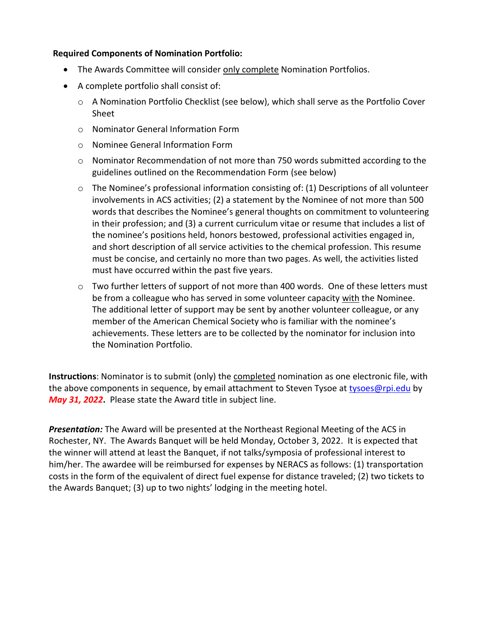#### **Required Components of Nomination Portfolio:**

- The Awards Committee will consider only complete Nomination Portfolios.
- A complete portfolio shall consist of:
	- o A Nomination Portfolio Checklist (see below), which shall serve as the Portfolio Cover Sheet
	- o Nominator General Information Form
	- o Nominee General Information Form
	- o Nominator Recommendation of not more than 750 words submitted according to the guidelines outlined on the Recommendation Form (see below)
	- $\circ$  The Nominee's professional information consisting of: (1) Descriptions of all volunteer involvements in ACS activities; (2) a statement by the Nominee of not more than 500 words that describes the Nominee's general thoughts on commitment to volunteering in their profession; and (3) a current curriculum vitae or resume that includes a list of the nominee's positions held, honors bestowed, professional activities engaged in, and short description of all service activities to the chemical profession. This resume must be concise, and certainly no more than two pages. As well, the activities listed must have occurred within the past five years.
	- o Two further letters of support of not more than 400 words. One of these letters must be from a colleague who has served in some volunteer capacity with the Nominee. The additional letter of support may be sent by another volunteer colleague, or any member of the American Chemical Society who is familiar with the nominee's achievements. These letters are to be collected by the nominator for inclusion into the Nomination Portfolio.

**Instructions**: Nominator is to submit (only) the completed nomination as one electronic file, with the above components in sequence, by email attachment to Steven Tysoe at [tysoes@rpi.edu](mailto:tysoes@rpi.edu) by *May 31, 2022***.** Please state the Award title in subject line.

*Presentation:* The Award will be presented at the Northeast Regional Meeting of the ACS in Rochester, NY. The Awards Banquet will be held Monday, October 3, 2022. It is expected that the winner will attend at least the Banquet, if not talks/symposia of professional interest to him/her. The awardee will be reimbursed for expenses by NERACS as follows: (1) transportation costs in the form of the equivalent of direct fuel expense for distance traveled; (2) two tickets to the Awards Banquet; (3) up to two nights' lodging in the meeting hotel.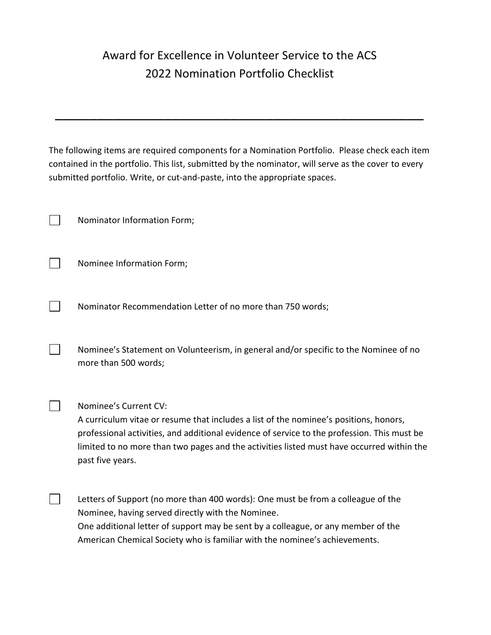### Award for Excellence in Volunteer Service to the ACS 2022 Nomination Portfolio Checklist

The following items are required components for a Nomination Portfolio. Please check each item contained in the portfolio. This list, submitted by the nominator, will serve as the cover to every submitted portfolio. Write, or cut-and-paste, into the appropriate spaces.

\_\_\_\_\_\_\_\_\_\_\_\_\_\_\_\_\_\_\_\_\_\_\_\_\_\_\_\_\_\_\_\_\_\_\_\_\_\_\_\_\_\_\_\_

Nominator Information Form;

 $\Box$ 

 $\Box$ 

 $\sim$ 

Nominee Information Form;

Nominator Recommendation Letter of no more than 750 words;

Nominee's Statement on Volunteerism, in general and/or specific to the Nominee of no more than 500 words;

Nominee's Current CV:

A curriculum vitae or resume that includes a list of the nominee's positions, honors, professional activities, and additional evidence of service to the profession. This must be limited to no more than two pages and the activities listed must have occurred within the past five years.

Letters of Support (no more than 400 words): One must be from a colleague of the Nominee, having served directly with the Nominee. One additional letter of support may be sent by a colleague, or any member of the American Chemical Society who is familiar with the nominee's achievements.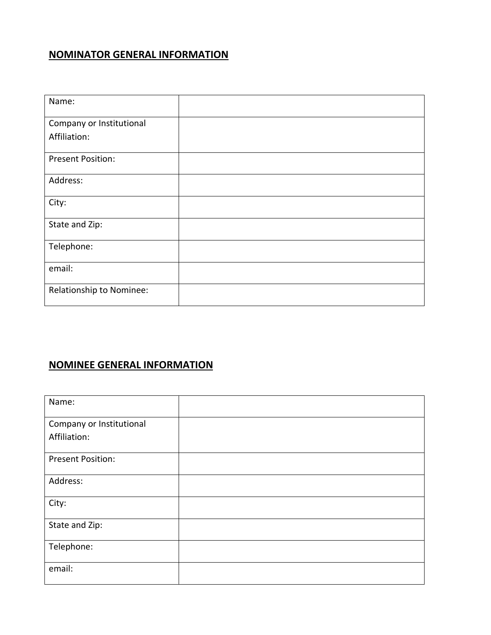### **NOMINATOR GENERAL INFORMATION**

| Name:                           |  |
|---------------------------------|--|
| Company or Institutional        |  |
| Affiliation:                    |  |
| <b>Present Position:</b>        |  |
| Address:                        |  |
| City:                           |  |
| State and Zip:                  |  |
| Telephone:                      |  |
| email:                          |  |
| <b>Relationship to Nominee:</b> |  |

#### **NOMINEE GENERAL INFORMATION**

| Name:                    |  |
|--------------------------|--|
| Company or Institutional |  |
| Affiliation:             |  |
| <b>Present Position:</b> |  |
| Address:                 |  |
| City:                    |  |
| State and Zip:           |  |
| Telephone:               |  |
| email:                   |  |